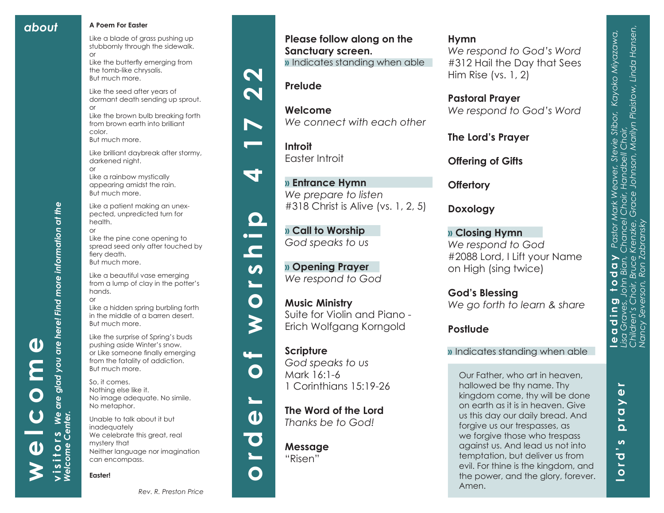#### *about* **A Poem For Easter**

Like a blade of grass pushing up stubbornly through the sidewalk. or

Like the butterfly emerging from the tomb-like chrysalis. But much more.

Like the seed after years of dormant death sending up sprout. or

Like the brown bulb breaking forth from brown earth into brilliant color. But much more.

Like brilliant daybreak after stormy, darkened night.

#### or

Like a rainbow mystically appearing amidst the rain. But much more.

Like a patient making an unexpected, unpredicted turn for health. or

Like the pine cone opening to spread seed only after touched by fiery death. But much more.

Like a beautiful vase emerging from a lump of clay in the potter's hands.

or Like a hidden spring burbling forth in the middle of a barren desert. But much more.

Like the surprise of Spring's buds pushing aside Winter's snow. or Like someone finally emerging from the fatality of addiction. But much more.

So, it comes. Nothing else like it. No image adequate. No simile. No metaphor.

Unable to talk about it but inadequately We celebrate this great, real mystery that Neither language nor imagination can encompass.

**Easter!**





**Welcome**



ਰਾ

 $\mathbf \Omega$ 

 $\bullet$   $\blacksquare$  $\blacksquare$ 

 $\boldsymbol{\omega}$ 

 $\mathbf O$ 

≩

 $\mathbf O$ 

 $\blacktriangleright$ 

6

 $\mathbf O$ 

**Introit** Easter Introit



**Please follow along on the** 

**»** Indicates standing when able

*We connect with each other*

**Sanctuary screen.**

**» Call to Worship**  *God speaks to us*

**» Opening Prayer**  *We respond to God*

**Music Ministry**  Suite for Violin and Piano - Erich Wolfgang Korngold

## **Scripture**

*God speaks to us* Mark 16:1-6 1 Corinthians 15:19-26

**The Word of the Lord**  *Thanks be to God!*

## **Message** "Risen"

## **Hymn**

*We respond to God's Word*  #312 Hail the Day that Sees Him Rise (vs. 1, 2)

**Pastoral Prayer** *We respond to God's Word*

**The Lord's Prayer**

**Offering of Gifts**

**Offertory**

**Doxology**

**» Closing Hymn** *We respond to God* #2088 Lord, I Lift your Name on High (sing twice)

**lord's prayer leading today** *Pastor Mark Weaver, Stevie Stibor, Kayoko Miyazawa, Lisa Graves, John Bian, Chancel Choir, Handbell Choir,* 

 $\frac{d}{d} \frac{d}{d} \frac{y}{d}$ ian,  $\mathbf{0}$ Bruce<br>Ron

John

L.

 $\boldsymbol{\omega}$ 

 $\blacktriangleright$  $\overline{\mathbf{o}}$ 

L.  $\overline{\mathbf{a}}$  $\boldsymbol{v}$ 

 $\overline{\mathbf{C}}$  $\overline{\phantom{0}}$ 

 $\circ$ and the

**leading to:**<br>Lisa Graves, John<br>Children's Choir, B<br>Nancy Severson, K

*Children's Choir, Bruce Krenzke, Grace Johnson, Marilyn Plaistow, Linda Hansen,*

Pastor Mark Weaver, Stevie Stibor, Kayoko Miyazawa,<br>Chancel Choir, Handbell Choir,<br>Krenzke, Grace Johnson, Marilyn Plaistow, Linda Hanser

Marilyn Plaistow, Linda Hansen,

*Nancy Severson, Ron Zabransky*

**God's Blessing** *We go forth to learn & share*

## **Postlude**

## **»** Indicates standing when able

Our Father, who art in heaven, hallowed be thy name. Thy kingdom come, thy will be done on earth as it is in heaven. Give us this day our daily bread. And forgive us our trespasses, as we forgive those who trespass against us. And lead us not into temptation, but deliver us from evil. For thine is the kingdom, and the power, and the glory, forever. Amen.

*Welcome Center.*

*Rev. R. Preston Price*